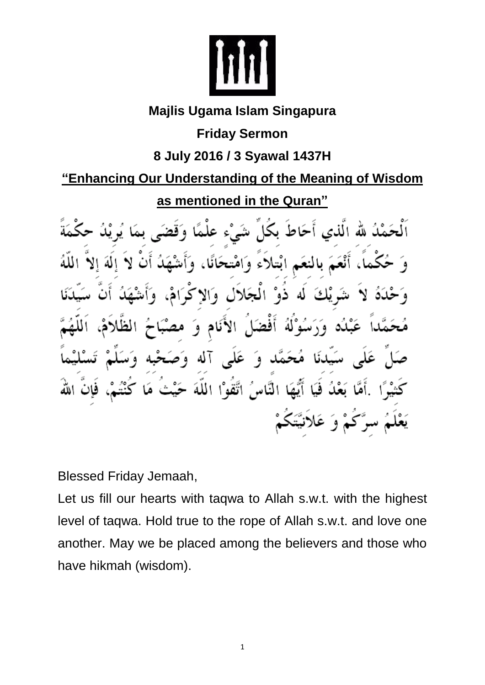

## **Majlis Ugama Islam Singapura**

**Friday Sermon**

## **8 July 2016 / 3 Syawal 1437H**

## **"Enhancing Our Understanding of the Meaning of Wisdom**

**as mentioned in the Quran"**

نَمْدُ لله الَّذي أَحَاطَ بِكَلِّ شَيْءٍ عَلَمًا أَنْعَمَ بِالنَّعَمِ ابْتِلاَءَ وَامْتِحَانًا، وَ شَہ يْكَ لَه ذَوْ الْمَجَلاَلِ وَالاَ عَبْدُه وَرَسُوْلَهُ أَفْضَلَ الأَنَامِ وَ مھ سَيِّدنَا مُحَمَّد وَ عَلَى آله وَ َ بَعْدُ فَيَا أَيُّهَا النَّاسُ اتَّقُوْا اللَّهَ حَيْثُ يَعْلَمُ سرَّكُمْ وَ عَلاَنيَّتَكُمْ

Blessed Friday Jemaah,

Let us fill our hearts with taqwa to Allah s.w.t. with the highest level of taqwa. Hold true to the rope of Allah s.w.t. and love one another. May we be placed among the believers and those who have hikmah (wisdom).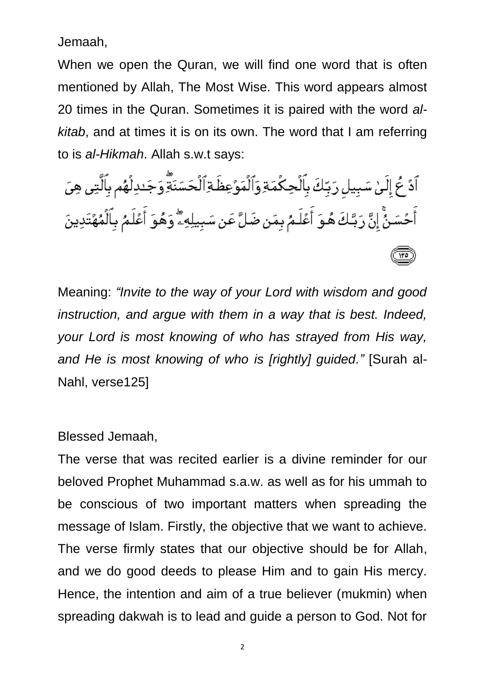Jemaah,

When we open the Quran, we will find one word that is often mentioned by Allah, The Most Wise. This word appears almost 20 times in the Quran. Sometimes it is paired with the word *alkitab*, and at times it is on its own. The word that I am referring to is *al-Hikmah*. Allah s.w.t says:

ٱدۡ ۖ إِلَىٰ سَبِيلِ رَبِّكَ بِٱلۡحِكۡمَةِ وَٱلۡمَوۡعِظَةِٱلۡحَسَنَةِۗۚ وَجَدِلۡهُم بِٱلَّتِى هِىَ أَحۡسَنُّ إِنَّ رَبَّـكَ هُـوَ أَعۡلَـمُ بِمَن ضَلَّ عَن سَبِيلِهِۦۖ وَهُوَ أَعۡلَـمُ بِٱلۡمُهۡتَدِينَ

Meaning: *"Invite to the way of your Lord with wisdom and good instruction, and argue with them in a way that is best. Indeed, your Lord is most knowing of who has strayed from His way, and He is most knowing of who is [rightly] guided."* [Surah al-Nahl, verse125]

Blessed Jemaah,

The verse that was recited earlier is a divine reminder for our beloved Prophet Muhammad s.a.w. as well as for his ummah to be conscious of two important matters when spreading the message of Islam. Firstly, the objective that we want to achieve. The verse firmly states that our objective should be for Allah, and we do good deeds to please Him and to gain His mercy. Hence, the intention and aim of a true believer (mukmin) when spreading dakwah is to lead and guide a person to God. Not for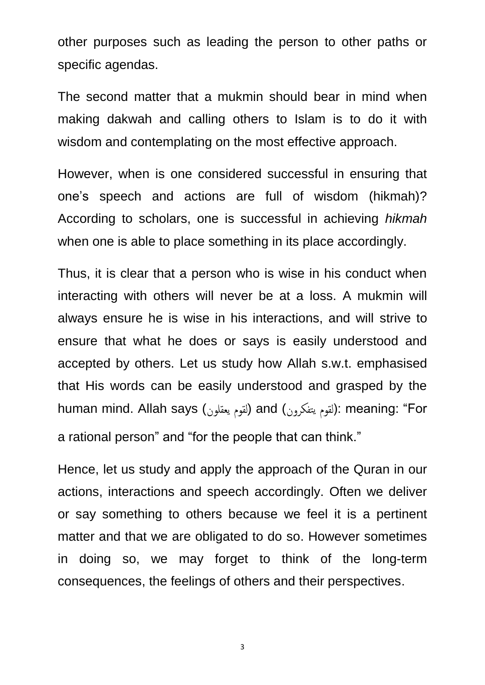other purposes such as leading the person to other paths or specific agendas.

The second matter that a mukmin should bear in mind when making dakwah and calling others to Islam is to do it with wisdom and contemplating on the most effective approach.

However, when is one considered successful in ensuring that one's speech and actions are full of wisdom (hikmah)? According to scholars, one is successful in achieving *hikmah*  when one is able to place something in its place accordingly.

Thus, it is clear that a person who is wise in his conduct when interacting with others will never be at a loss. A mukmin will always ensure he is wise in his interactions, and will strive to ensure that what he does or says is easily understood and accepted by others. Let us study how Allah s.w.t. emphasised that His words can be easily understood and grasped by the human mind. Allah says (إلقوم يتفكرون) and (يقوم القوم): meaning: "For a rational person" and "for the people that can think."

Hence, let us study and apply the approach of the Quran in our actions, interactions and speech accordingly. Often we deliver or say something to others because we feel it is a pertinent matter and that we are obligated to do so. However sometimes in doing so, we may forget to think of the long-term consequences, the feelings of others and their perspectives.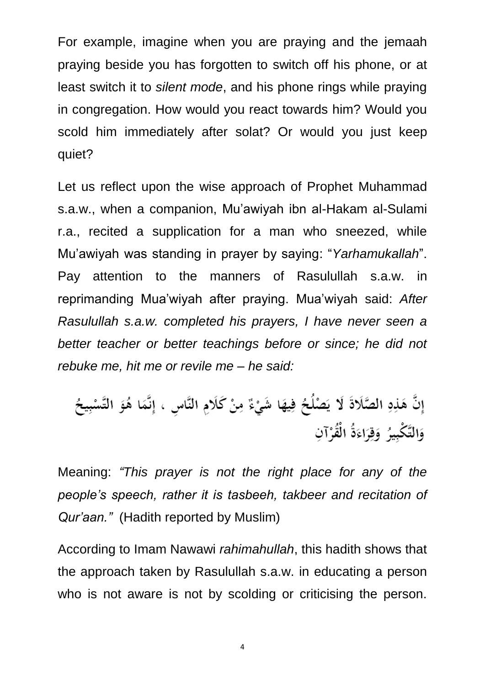For example, imagine when you are praying and the jemaah praying beside you has forgotten to switch off his phone, or at least switch it to *silent mode*, and his phone rings while praying in congregation. How would you react towards him? Would you scold him immediately after solat? Or would you just keep quiet?

Let us reflect upon the wise approach of Prophet Muhammad s.a.w., when a companion, Mu'awiyah ibn al-Hakam al-Sulami r.a., recited a supplication for a man who sneezed, while Mu'awiyah was standing in prayer by saying: "*Yarhamukallah*". Pay attention to the manners of Rasulullah s.a.w. in reprimanding Mua'wiyah after praying. Mua'wiyah said: *After Rasulullah s.a.w. completed his prayers, I have never seen a better teacher or better teachings before or since; he did not rebuke me, hit me or revile me – he said:* 

إِنَّ هَذِهِ الصَّلَاةَ لَا يَصْلُحُ فِيهَا شَيْءٌ مِنْ كَلَامِ النَّاسِ ، إِنَّمَا هُوَ التَّسْبِيحُ وَالتَّكْبِيرُ وَقِرَاءَةُ الْقُرْآنِ

Meaning: *"This prayer is not the right place for any of the people's speech, rather it is tasbeeh, takbeer and recitation of Qur'aan."* (Hadith reported by Muslim)

According to Imam Nawawi *rahimahullah*, this hadith shows that the approach taken by Rasulullah s.a.w. in educating a person who is not aware is not by scolding or criticising the person.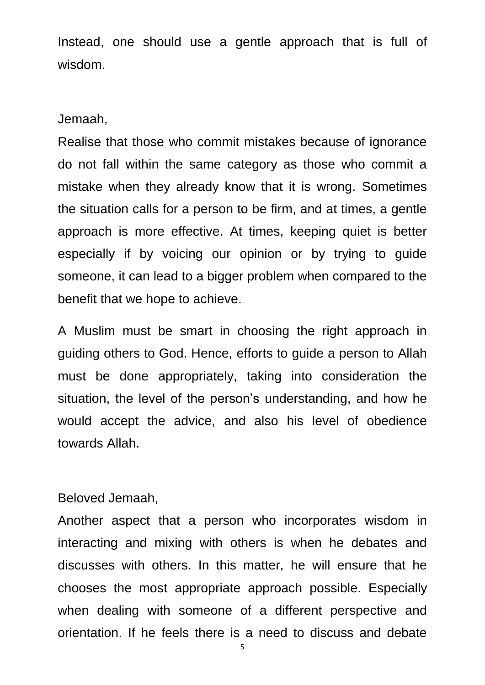Instead, one should use a gentle approach that is full of wisdom.

Jemaah,

Realise that those who commit mistakes because of ignorance do not fall within the same category as those who commit a mistake when they already know that it is wrong. Sometimes the situation calls for a person to be firm, and at times, a gentle approach is more effective. At times, keeping quiet is better especially if by voicing our opinion or by trying to guide someone, it can lead to a bigger problem when compared to the benefit that we hope to achieve.

A Muslim must be smart in choosing the right approach in guiding others to God. Hence, efforts to guide a person to Allah must be done appropriately, taking into consideration the situation, the level of the person's understanding, and how he would accept the advice, and also his level of obedience towards Allah.

Beloved Jemaah,

Another aspect that a person who incorporates wisdom in interacting and mixing with others is when he debates and discusses with others. In this matter, he will ensure that he chooses the most appropriate approach possible. Especially when dealing with someone of a different perspective and orientation. If he feels there is a need to discuss and debate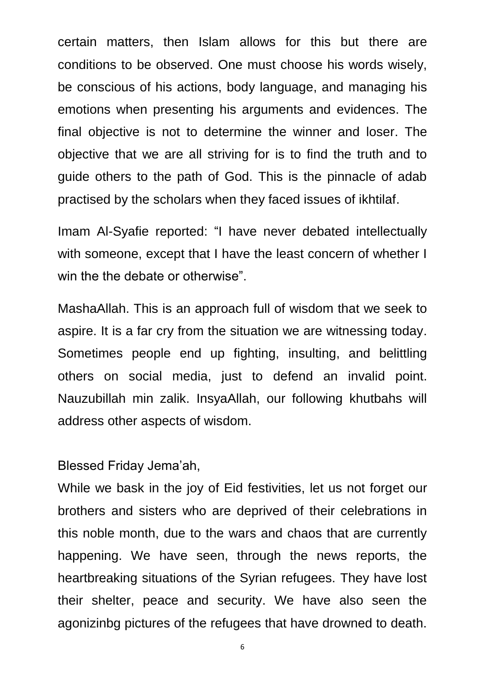certain matters, then Islam allows for this but there are conditions to be observed. One must choose his words wisely, be conscious of his actions, body language, and managing his emotions when presenting his arguments and evidences. The final objective is not to determine the winner and loser. The objective that we are all striving for is to find the truth and to guide others to the path of God. This is the pinnacle of adab practised by the scholars when they faced issues of ikhtilaf.

Imam Al-Syafie reported: "I have never debated intellectually with someone, except that I have the least concern of whether I win the the debate or otherwise".

MashaAllah. This is an approach full of wisdom that we seek to aspire. It is a far cry from the situation we are witnessing today. Sometimes people end up fighting, insulting, and belittling others on social media, just to defend an invalid point. Nauzubillah min zalik. InsyaAllah, our following khutbahs will address other aspects of wisdom.

## Blessed Friday Jema'ah,

While we bask in the joy of Eid festivities, let us not forget our brothers and sisters who are deprived of their celebrations in this noble month, due to the wars and chaos that are currently happening. We have seen, through the news reports, the heartbreaking situations of the Syrian refugees. They have lost their shelter, peace and security. We have also seen the agonizinbg pictures of the refugees that have drowned to death.